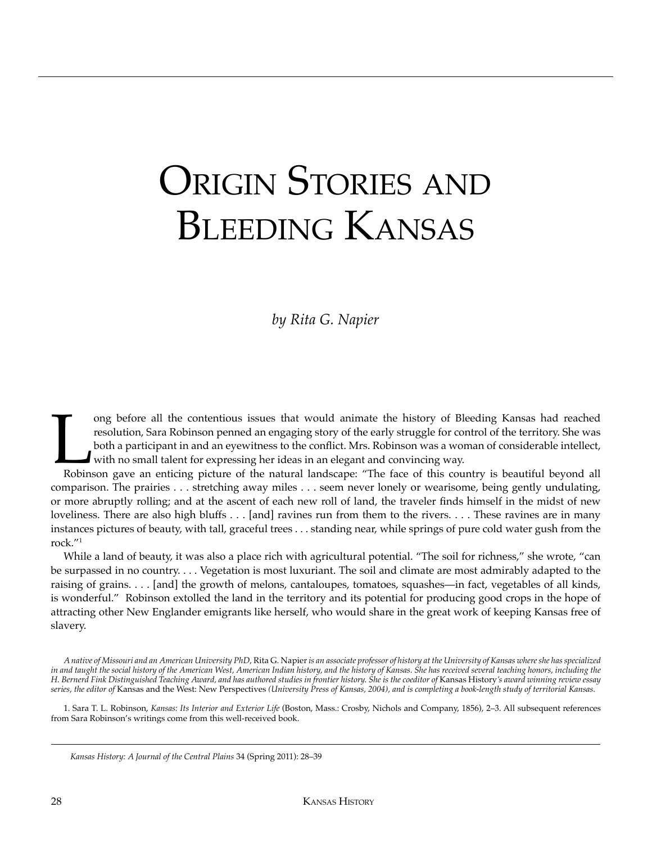## ORIGIN STORIES AND BLEEDING KANSAS

## *by Rita G. Napier*

ong before all the contentious issues that would animate the history of Bleeding Kansas had reached resolution, Sara Robinson penned an engaging story of the early struggle for control of the territory. She was both a part resolution, Sara Robinson penned an engaging story of the early struggle for control of the territory. She was both a participant in and an eyewitness to the conflict. Mrs. Robinson was a woman of considerable intellect, with no small talent for expressing her ideas in an elegant and convincing way.

comparison. The prairies . . . stretching away miles . . . seem never lonely or wearisome, being gently undulating, or more abruptly rolling; and at the ascent of each new roll of land, the traveler finds himself in the midst of new loveliness. There are also high bluffs . . . [and] ravines run from them to the rivers. . . . These ravines are in many instances pictures of beauty, with tall, graceful trees . . . standing near, while springs of pure cold water gush from the rock."1

While a land of beauty, it was also a place rich with agricultural potential. "The soil for richness," she wrote, "can be surpassed in no country. . . . Vegetation is most luxuriant. The soil and climate are most admirably adapted to the raising of grains. . . . [and] the growth of melons, cantaloupes, tomatoes, squashes—in fact, vegetables of all kinds, is wonderful." Robinson extolled the land in the territory and its potential for producing good crops in the hope of attracting other New Englander emigrants like herself, who would share in the great work of keeping Kansas free of slavery.

*A native of Missouri and an American University PhD,* Rita G. Napier *is an associate professor of history at the University of Kansas where she has specialized in and taught the social history of the American West, American Indian history, and the history of Kansas. She has received several teaching honors, including the H. Bernerd Fink Distinguished Teaching Award, and has authored studies in frontier history. She is the coeditor of* Kansas History*'s award winning review essay series, the editor of* Kansas and the West: New Perspectives *(University Press of Kansas, 2004), and is completing a book-length study of territorial Kansas.*

1. Sara T. L. Robinson, *Kansas: Its Interior and Exterior Life* (Boston, Mass.: Crosby, Nichols and Company, 1856), 2–3. All subsequent references from Sara Robinson's writings come from this well-received book.

*Kansas History: A Journal of the Central Plains* 34 (Spring 2011): 28–39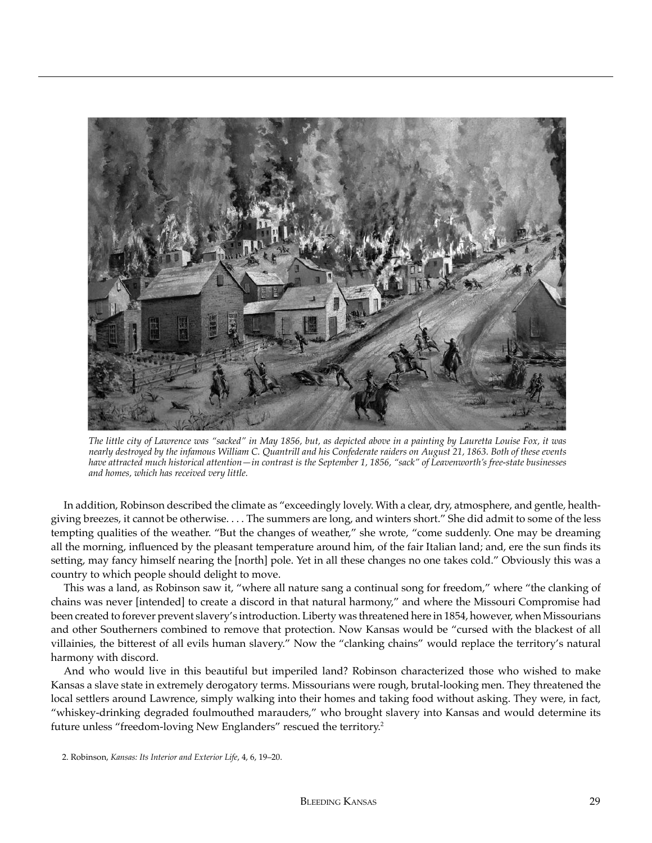

*The little city of Lawrence was "sacked" in May 1856, but, as depicted above in a painting by Lauretta Louise Fox, it was nearly destroyed by the infamous William C. Quantrill and his Confederate raiders on August 21, 1863. Both of these events have attracted much historical attention—in contrast is the September 1, 1856, "sack" of Leavenworth's free-state businesses and homes, which has received very little.*

In addition, Robinson described the climate as "exceedingly lovely. With a clear, dry, atmosphere, and gentle, healthgiving breezes, it cannot be otherwise. . . . The summers are long, and winters short." She did admit to some of the less tempting qualities of the weather. "But the changes of weather," she wrote, "come suddenly. One may be dreaming all the morning, influenced by the pleasant temperature around him, of the fair Italian land; and, ere the sun finds its setting, may fancy himself nearing the [north] pole. Yet in all these changes no one takes cold." Obviously this was a country to which people should delight to move.

This was a land, as Robinson saw it, "where all nature sang a continual song for freedom," where "the clanking of chains was never [intended] to create a discord in that natural harmony," and where the Missouri Compromise had been created to forever prevent slavery's introduction. Liberty was threatened here in 1854, however, when Missourians and other Southerners combined to remove that protection. Now Kansas would be "cursed with the blackest of all villainies, the bitterest of all evils human slavery." Now the "clanking chains" would replace the territory's natural harmony with discord.

And who would live in this beautiful but imperiled land? Robinson characterized those who wished to make Kansas a slave state in extremely derogatory terms. Missourians were rough, brutal-looking men. They threatened the local settlers around Lawrence, simply walking into their homes and taking food without asking. They were, in fact, "whiskey-drinking degraded foulmouthed marauders," who brought slavery into Kansas and would determine its future unless "freedom-loving New Englanders" rescued the territory.2

<sup>2.</sup> Robinson, *Kansas: Its Interior and Exterior Life*, 4, 6, 19–20.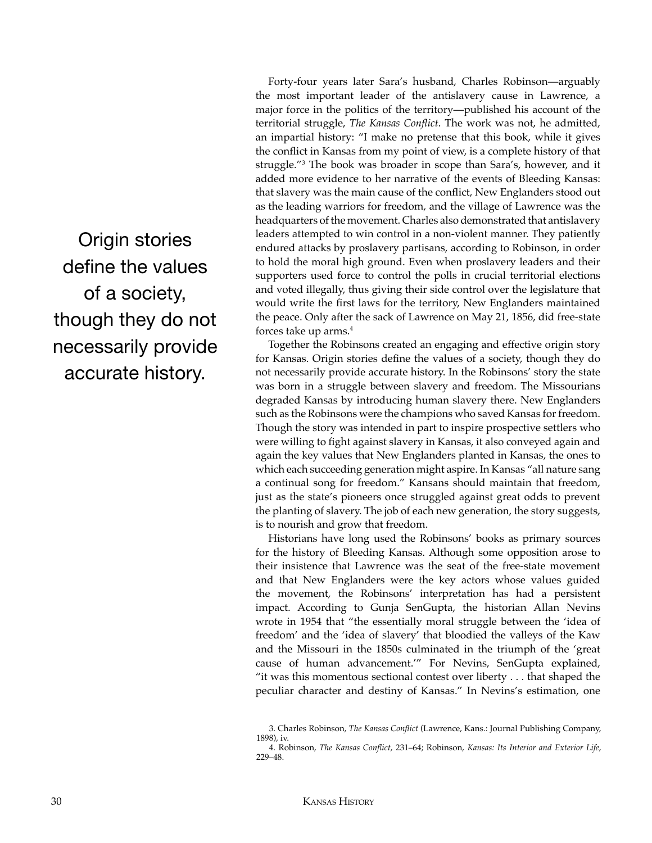Origin stories define the values of a society, though they do not necessarily provide accurate history.

Forty-four years later Sara's husband, Charles Robinson—arguably the most important leader of the antislavery cause in Lawrence, a major force in the politics of the territory—published his account of the territorial struggle, *The Kansas Conflict*. The work was not, he admitted, an impartial history: "I make no pretense that this book, while it gives the conflict in Kansas from my point of view, is a complete history of that struggle."3 The book was broader in scope than Sara's, however, and it added more evidence to her narrative of the events of Bleeding Kansas: that slavery was the main cause of the conflict, New Englanders stood out as the leading warriors for freedom, and the village of Lawrence was the headquarters of the movement. Charles also demonstrated that antislavery leaders attempted to win control in a non-violent manner. They patiently endured attacks by proslavery partisans, according to Robinson, in order to hold the moral high ground. Even when proslavery leaders and their supporters used force to control the polls in crucial territorial elections and voted illegally, thus giving their side control over the legislature that would write the first laws for the territory, New Englanders maintained the peace. Only after the sack of Lawrence on May 21, 1856, did free-state forces take up arms.4

Together the Robinsons created an engaging and effective origin story for Kansas. Origin stories define the values of a society, though they do not necessarily provide accurate history. In the Robinsons' story the state was born in a struggle between slavery and freedom. The Missourians degraded Kansas by introducing human slavery there. New Englanders such as the Robinsons were the champions who saved Kansas for freedom. Though the story was intended in part to inspire prospective settlers who were willing to fight against slavery in Kansas, it also conveyed again and again the key values that New Englanders planted in Kansas, the ones to which each succeeding generation might aspire. In Kansas "all nature sang a continual song for freedom." Kansans should maintain that freedom, just as the state's pioneers once struggled against great odds to prevent the planting of slavery. The job of each new generation, the story suggests, is to nourish and grow that freedom.

Historians have long used the Robinsons' books as primary sources for the history of Bleeding Kansas. Although some opposition arose to their insistence that Lawrence was the seat of the free-state movement and that New Englanders were the key actors whose values guided the movement, the Robinsons' interpretation has had a persistent impact. According to Gunja SenGupta, the historian Allan Nevins wrote in 1954 that "the essentially moral struggle between the 'idea of freedom' and the 'idea of slavery' that bloodied the valleys of the Kaw and the Missouri in the 1850s culminated in the triumph of the 'great cause of human advancement.'" For Nevins, SenGupta explained, "it was this momentous sectional contest over liberty . . . that shaped the peculiar character and destiny of Kansas." In Nevins's estimation, one

<sup>3.</sup> Charles Robinson, *The Kansas Conflict* (Lawrence, Kans.: Journal Publishing Company, 1898), iv.

<sup>4.</sup> Robinson, *The Kansas Conflict*, 231–64; Robinson, *Kansas: Its Interior and Exterior Life*, 229–48.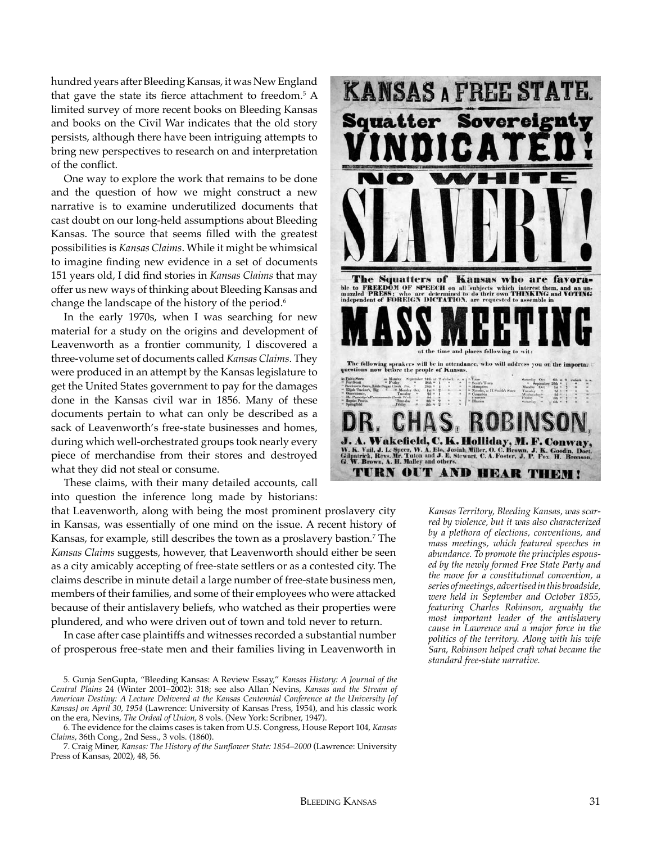hundred years after Bleeding Kansas, it was New England that gave the state its fierce attachment to freedom.5 A limited survey of more recent books on Bleeding Kansas and books on the Civil War indicates that the old story persists, although there have been intriguing attempts to bring new perspectives to research on and interpretation of the conflict.

One way to explore the work that remains to be done and the question of how we might construct a new narrative is to examine underutilized documents that cast doubt on our long-held assumptions about Bleeding Kansas. The source that seems filled with the greatest possibilities is *Kansas Claims*. While it might be whimsical to imagine finding new evidence in a set of documents 151 years old, I did find stories in *Kansas Claims* that may offer us new ways of thinking about Bleeding Kansas and change the landscape of the history of the period.<sup>6</sup>

In the early 1970s, when I was searching for new material for a study on the origins and development of Leavenworth as a frontier community, I discovered a three-volume set of documents called *Kansas Claims*. They were produced in an attempt by the Kansas legislature to get the United States government to pay for the damages done in the Kansas civil war in 1856. Many of these documents pertain to what can only be described as a sack of Leavenworth's free-state businesses and homes, during which well-orchestrated groups took nearly every piece of merchandise from their stores and destroyed what they did not steal or consume.

These claims, with their many detailed accounts, call into question the inference long made by historians:

that Leavenworth, along with being the most prominent proslavery city in Kansas, was essentially of one mind on the issue. A recent history of Kansas, for example, still describes the town as a proslavery bastion.7 The *Kansas Claims* suggests, however, that Leavenworth should either be seen as a city amicably accepting of free-state settlers or as a contested city. The claims describe in minute detail a large number of free-state business men, members of their families, and some of their employees who were attacked because of their antislavery beliefs, who watched as their properties were plundered, and who were driven out of town and told never to return.

In case after case plaintiffs and witnesses recorded a substantial number of prosperous free-state men and their families living in Leavenworth in

6. The evidence for the claims cases is taken from U.S. Congress, House Report 104, *Kansas Claims*, 36th Cong., 2nd Sess., 3 vols. (1860).

7. Craig Miner, *Kansas: The History of the Sunflower State: 1854–2000* (Lawrence: University Press of Kansas, 2002), 48, 56.



*Kansas Territory, Bleeding Kansas, was scarred by violence, but it was also characterized by a plethora of elections, conventions, and mass meetings, which featured speeches in abundance. To promote the principles espoused by the newly formed Free State Party and the move for a constitutional convention, a series of meetings, advertised in this broadside, were held in September and October 1855, featuring Charles Robinson, arguably the most important leader of the antislavery cause in Lawrence and a major force in the politics of the territory. Along with his wife Sara, Robinson helped craft what became the standard free-state narrative.*

<sup>5.</sup> Gunja SenGupta, "Bleeding Kansas: A Review Essay," *Kansas History: A Journal of the Central Plains* 24 (Winter 2001–2002): 318; see also Allan Nevins, *Kansas and the Stream of American Destiny: A Lecture Delivered at the Kansas Centennial Conference at the University [of Kansas] on April 30, 1954* (Lawrence: University of Kansas Press, 1954), and his classic work on the era, Nevins, *The Ordeal of Union*, 8 vols. (New York: Scribner, 1947).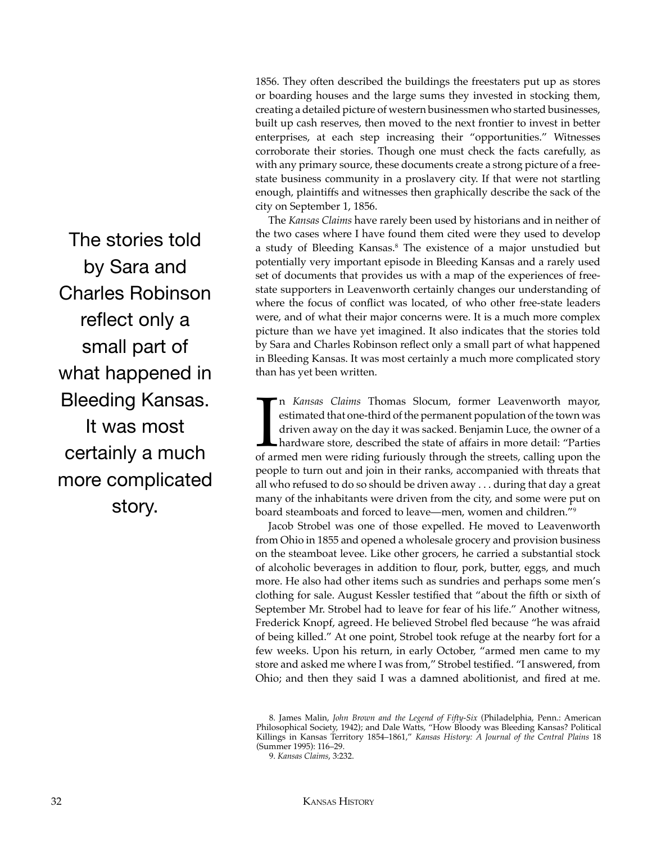1856. They often described the buildings the freestaters put up as stores or boarding houses and the large sums they invested in stocking them, creating a detailed picture of western businessmen who started businesses, built up cash reserves, then moved to the next frontier to invest in better enterprises, at each step increasing their "opportunities." Witnesses corroborate their stories. Though one must check the facts carefully, as with any primary source, these documents create a strong picture of a freestate business community in a proslavery city. If that were not startling enough, plaintiffs and witnesses then graphically describe the sack of the city on September 1, 1856.

The *Kansas Claims* have rarely been used by historians and in neither of the two cases where I have found them cited were they used to develop a study of Bleeding Kansas.<sup>8</sup> The existence of a major unstudied but potentially very important episode in Bleeding Kansas and a rarely used set of documents that provides us with a map of the experiences of freestate supporters in Leavenworth certainly changes our understanding of where the focus of conflict was located, of who other free-state leaders were, and of what their major concerns were. It is a much more complex picture than we have yet imagined. It also indicates that the stories told by Sara and Charles Robinson reflect only a small part of what happened in Bleeding Kansas. It was most certainly a much more complicated story than has yet been written.

In Kansas Claims Thomas Slocum, former Leavenworth mayor,<br>estimated that one-third of the permanent population of the town was<br>driven away on the day it was sacked. Benjamin Luce, the owner of a<br>hardware store, described t n *Kansas Claims* Thomas Slocum, former Leavenworth mayor, estimated that one-third of the permanent population of the town was driven away on the day it was sacked. Benjamin Luce, the owner of a hardware store, described the state of affairs in more detail: "Parties people to turn out and join in their ranks, accompanied with threats that all who refused to do so should be driven away . . . during that day a great many of the inhabitants were driven from the city, and some were put on board steamboats and forced to leave—men, women and children."9

Jacob Strobel was one of those expelled. He moved to Leavenworth from Ohio in 1855 and opened a wholesale grocery and provision business on the steamboat levee. Like other grocers, he carried a substantial stock of alcoholic beverages in addition to flour, pork, butter, eggs, and much more. He also had other items such as sundries and perhaps some men's clothing for sale. August Kessler testified that "about the fifth or sixth of September Mr. Strobel had to leave for fear of his life." Another witness, Frederick Knopf, agreed. He believed Strobel fled because "he was afraid of being killed." At one point, Strobel took refuge at the nearby fort for a few weeks. Upon his return, in early October, "armed men came to my store and asked me where I was from," Strobel testified. "I answered, from Ohio; and then they said I was a damned abolitionist, and fired at me.

The stories told by Sara and Charles Robinson reflect only a small part of what happened in Bleeding Kansas. It was most certainly a much more complicated story.

<sup>8.</sup> James Malin, *John Brown and the Legend of Fifty-Six* (Philadelphia, Penn.: American Philosophical Society, 1942); and Dale Watts, "How Bloody was Bleeding Kansas? Political Killings in Kansas Territory 1854–1861," *Kansas History: A Journal of the Central Plains* 18 (Summer 1995): 116–29.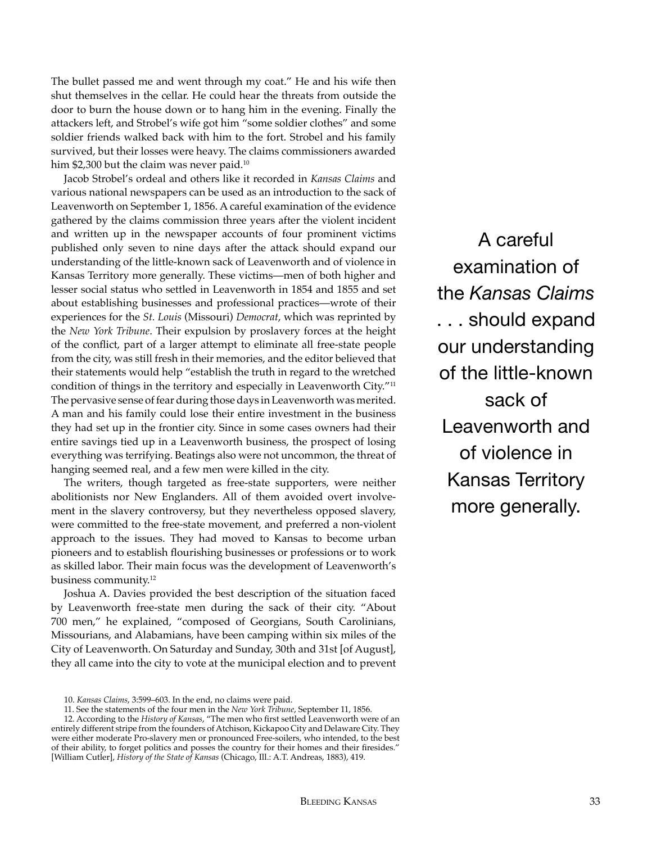The bullet passed me and went through my coat." He and his wife then shut themselves in the cellar. He could hear the threats from outside the door to burn the house down or to hang him in the evening. Finally the attackers left, and Strobel's wife got him "some soldier clothes" and some soldier friends walked back with him to the fort. Strobel and his family survived, but their losses were heavy. The claims commissioners awarded him \$2,300 but the claim was never paid.<sup>10</sup>

Jacob Strobel's ordeal and others like it recorded in *Kansas Claims* and various national newspapers can be used as an introduction to the sack of Leavenworth on September 1, 1856. A careful examination of the evidence gathered by the claims commission three years after the violent incident and written up in the newspaper accounts of four prominent victims published only seven to nine days after the attack should expand our understanding of the little-known sack of Leavenworth and of violence in Kansas Territory more generally. These victims—men of both higher and lesser social status who settled in Leavenworth in 1854 and 1855 and set about establishing businesses and professional practices—wrote of their experiences for the *St. Louis* (Missouri) *Democrat*, which was reprinted by the *New York Tribune*. Their expulsion by proslavery forces at the height of the conflict, part of a larger attempt to eliminate all free-state people from the city, was still fresh in their memories, and the editor believed that their statements would help "establish the truth in regard to the wretched condition of things in the territory and especially in Leavenworth City."<sup>11</sup> The pervasive sense of fear during those days in Leavenworth was merited. A man and his family could lose their entire investment in the business they had set up in the frontier city. Since in some cases owners had their entire savings tied up in a Leavenworth business, the prospect of losing everything was terrifying. Beatings also were not uncommon, the threat of hanging seemed real, and a few men were killed in the city.

The writers, though targeted as free-state supporters, were neither abolitionists nor New Englanders. All of them avoided overt involvement in the slavery controversy, but they nevertheless opposed slavery, were committed to the free-state movement, and preferred a non-violent approach to the issues. They had moved to Kansas to become urban pioneers and to establish flourishing businesses or professions or to work as skilled labor. Their main focus was the development of Leavenworth's business community.12

Joshua A. Davies provided the best description of the situation faced by Leavenworth free-state men during the sack of their city. "About 700 men," he explained, "composed of Georgians, South Carolinians, Missourians, and Alabamians, have been camping within six miles of the City of Leavenworth. On Saturday and Sunday, 30th and 31st [of August], they all came into the city to vote at the municipal election and to prevent

A careful examination of the *Kansas Claims* . . . should expand our understanding of the little-known sack of Leavenworth and of violence in Kansas Territory more generally.

<sup>10.</sup> *Kansas Claims*, 3:599–603. In the end, no claims were paid.

<sup>11.</sup> See the statements of the four men in the *New York Tribune*, September 11, 1856.

<sup>12.</sup> According to the *History of Kansas*, "The men who first settled Leavenworth were of an entirely different stripe from the founders of Atchison, Kickapoo City and Delaware City. They were either moderate Pro-slavery men or pronounced Free-soilers, who intended, to the best of their ability, to forget politics and posses the country for their homes and their firesides." [William Cutler], *History of the State of Kansas* (Chicago, Ill.: A.T. Andreas, 1883), 419.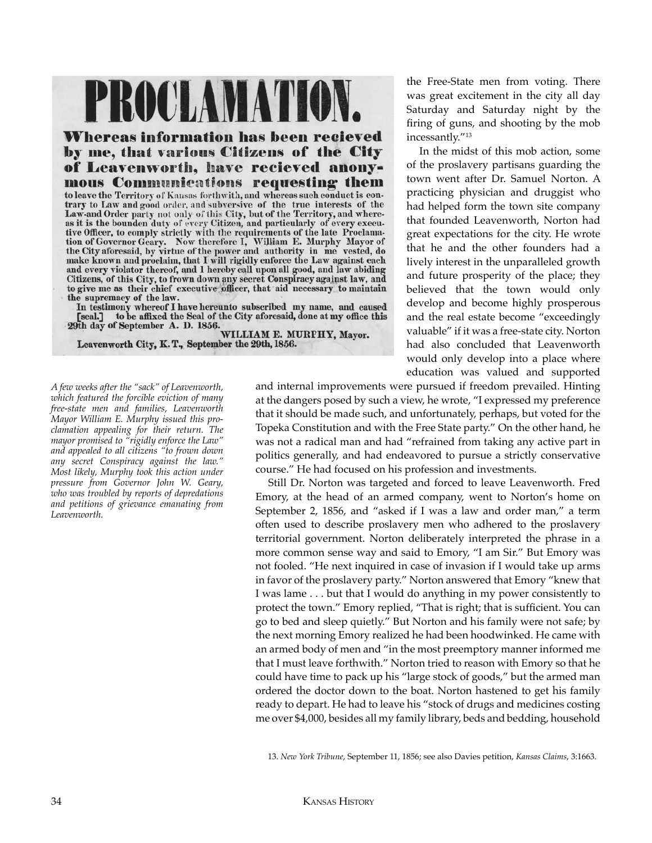## PROCLAMATION.

**Whereas information has been recieved** by me, that various Citizens of the City of Leavenworth, have recieved anonymous Communications requesting them to leave the Territory of Kansas forthwith, and whereas such conduct is con-

trary to Law and good order, and subversive of the true interests of the Law-and Order party not only of this City, but of the Territory, and where-<br>as it is the bounden duty of every Citizen, and particularly of every executive Officer, to comply strictly with the requirements of the late Proclamation of Governor Geary. Now therefore I, William E. Murphy Mayor of the City aforesaid, by virtue of the power and authority in me vested, do make known and proclaim, that I will rigidly enforce the Law against each and every violator thereof, and I hereby call upon all good, and law abiding Citizens, of this City, to frown down any secret Conspiracy against law, and to give me as their chief executive officer, that aid necessary to m the supremacy of the law.

In testimony whereof I have hereunto subscribed my name, and caused to be affixed the Seal of the City aforesaid, done at my office this [seal.] 29th day of September A. D. 1856.

WILLIAM E. MURPHY, Mayor. Leavenworth City, K.T., September the 29th, 1856.

*A few weeks after the "sack" of Leavenworth, which featured the forcible eviction of many free-state men and families, Leavenworth Mayor William E. Murphy issued this proclamation appealing for their return. The mayor promised to "rigidly enforce the Law" and appealed to all citizens "to frown down any secret Conspiracy against the law." Most likely, Murphy took this action under pressure from Governor John W. Geary, who was troubled by reports of depredations and petitions of grievance emanating from Leavenworth.*

the Free-State men from voting. There was great excitement in the city all day Saturday and Saturday night by the firing of guns, and shooting by the mob incessantly."13

In the midst of this mob action, some of the proslavery partisans guarding the town went after Dr. Samuel Norton. A practicing physician and druggist who had helped form the town site company that founded Leavenworth, Norton had great expectations for the city. He wrote that he and the other founders had a lively interest in the unparalleled growth and future prosperity of the place; they believed that the town would only develop and become highly prosperous and the real estate become "exceedingly valuable" if it was a free-state city. Norton had also concluded that Leavenworth would only develop into a place where education was valued and supported

and internal improvements were pursued if freedom prevailed. Hinting at the dangers posed by such a view, he wrote, "I expressed my preference that it should be made such, and unfortunately, perhaps, but voted for the Topeka Constitution and with the Free State party." On the other hand, he was not a radical man and had "refrained from taking any active part in politics generally, and had endeavored to pursue a strictly conservative course." He had focused on his profession and investments.

Still Dr. Norton was targeted and forced to leave Leavenworth. Fred Emory, at the head of an armed company, went to Norton's home on September 2, 1856, and "asked if I was a law and order man," a term often used to describe proslavery men who adhered to the proslavery territorial government. Norton deliberately interpreted the phrase in a more common sense way and said to Emory, "I am Sir." But Emory was not fooled. "He next inquired in case of invasion if I would take up arms in favor of the proslavery party." Norton answered that Emory "knew that I was lame . . . but that I would do anything in my power consistently to protect the town." Emory replied, "That is right; that is sufficient. You can go to bed and sleep quietly." But Norton and his family were not safe; by the next morning Emory realized he had been hoodwinked. He came with an armed body of men and "in the most preemptory manner informed me that I must leave forthwith." Norton tried to reason with Emory so that he could have time to pack up his "large stock of goods," but the armed man ordered the doctor down to the boat. Norton hastened to get his family ready to depart. He had to leave his "stock of drugs and medicines costing me over \$4,000, besides all my family library, beds and bedding, household

<sup>13.</sup> *New York Tribune*, September 11, 1856; see also Davies petition, *Kansas Claims*, 3:1663.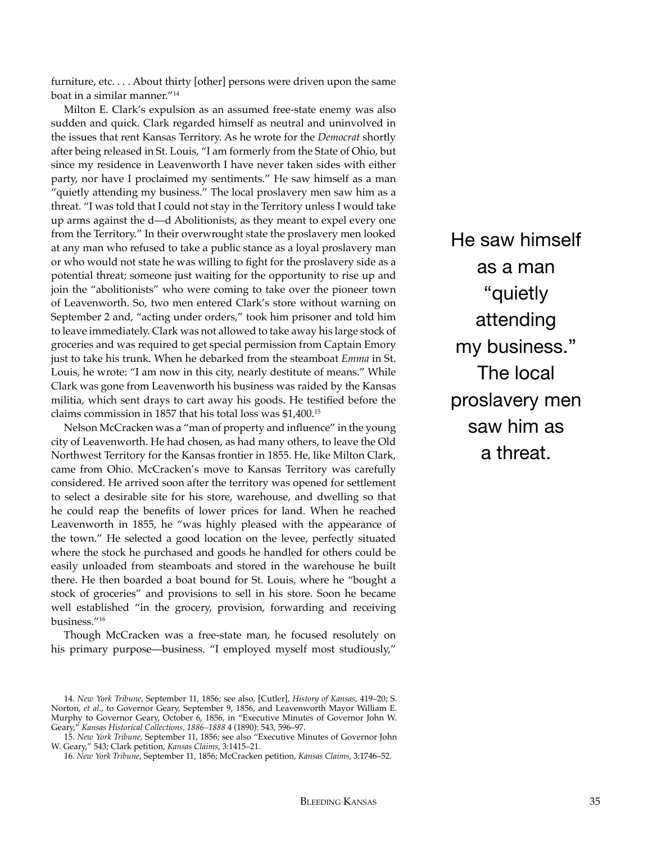furniture, etc. . . . About thirty [other] persons were driven upon the same boat in a similar manner."14

Milton E. Clark's expulsion as an assumed free-state enemy was also sudden and quick. Clark regarded himself as neutral and uninvolved in the issues that rent Kansas Territory. As he wrote for the *Democrat* shortly after being released in St. Louis, "I am formerly from the State of Ohio, but since my residence in Leavenworth I have never taken sides with either party, nor have I proclaimed my sentiments." He saw himself as a man "quietly attending my business." The local proslavery men saw him as a threat. "I was told that I could not stay in the Territory unless I would take up arms against the d—d Abolitionists, as they meant to expel every one from the Territory." In their overwrought state the proslavery men looked at any man who refused to take a public stance as a loyal proslavery man or who would not state he was willing to fight for the proslavery side as a potential threat; someone just waiting for the opportunity to rise up and join the "abolitionists" who were coming to take over the pioneer town of Leavenworth. So, two men entered Clark's store without warning on September 2 and, "acting under orders," took him prisoner and told him to leave immediately. Clark was not allowed to take away his large stock of groceries and was required to get special permission from Captain Emory just to take his trunk. When he debarked from the steamboat *Emma* in St. Louis, he wrote: "I am now in this city, nearly destitute of means." While Clark was gone from Leavenworth his business was raided by the Kansas militia, which sent drays to cart away his goods. He testified before the claims commission in 1857 that his total loss was \$1,400.15

Nelson McCracken was a "man of property and influence" in the young city of Leavenworth. He had chosen, as had many others, to leave the Old Northwest Territory for the Kansas frontier in 1855. He, like Milton Clark, came from Ohio. McCracken's move to Kansas Territory was carefully considered. He arrived soon after the territory was opened for settlement to select a desirable site for his store, warehouse, and dwelling so that he could reap the benefits of lower prices for land. When he reached Leavenworth in 1855, he "was highly pleased with the appearance of the town." He selected a good location on the levee, perfectly situated where the stock he purchased and goods he handled for others could be easily unloaded from steamboats and stored in the warehouse he built there. He then boarded a boat bound for St. Louis, where he "bought a stock of groceries" and provisions to sell in his store. Soon he became well established "in the grocery, provision, forwarding and receiving business."<sup>16</sup>

Though McCracken was a free-state man, he focused resolutely on his primary purpose—business. "I employed myself most studiously,"

He saw himself as a man "quietly attending my business." The local proslavery men saw him as a threat.

<sup>14.</sup> *New York Tribune*, September 11, 1856; see also, [Cutler], *History of Kansas*, 419–20; S. Norton, *et al*., to Governor Geary, September 9, 1856, and Leavenworth Mayor William E. Murphy to Governor Geary, October 6, 1856, in "Executive Minutes of Governor John W. Geary," *Kansas Historical Collections, 1886–1888* 4 (1890): 543, 596–97.

<sup>15.</sup> *New York Tribune*, September 11, 1856; see also "Executive Minutes of Governor John W. Geary," 543; Clark petition, *Kansas Claims*, 3:1415–21.

<sup>16.</sup> *New York Tribune*, September 11, 1856; McCracken petition, *Kansas Claims*, 3:1746–52.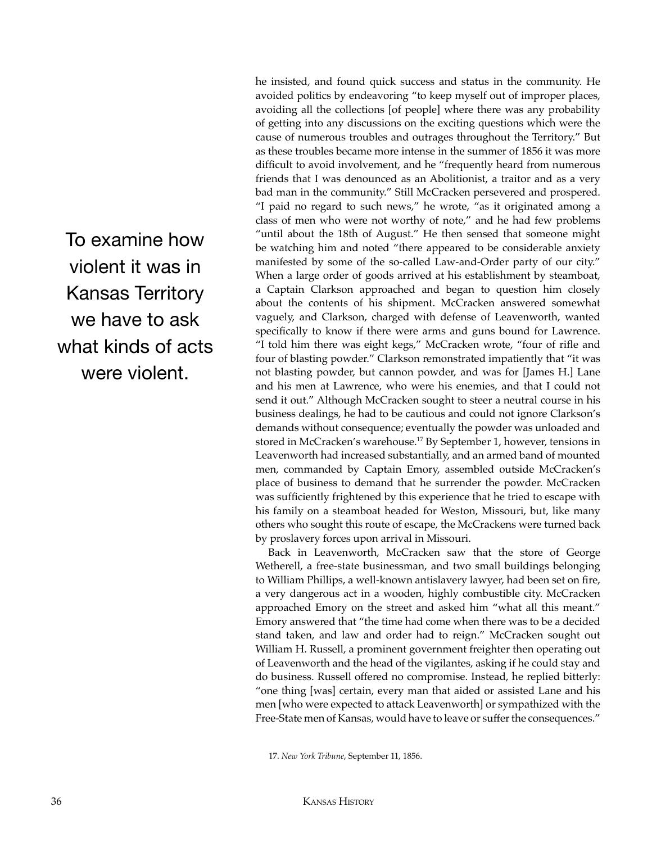To examine how violent it was in Kansas Territory we have to ask what kinds of acts were violent.

he insisted, and found quick success and status in the community. He avoided politics by endeavoring "to keep myself out of improper places, avoiding all the collections [of people] where there was any probability of getting into any discussions on the exciting questions which were the cause of numerous troubles and outrages throughout the Territory." But as these troubles became more intense in the summer of 1856 it was more difficult to avoid involvement, and he "frequently heard from numerous friends that I was denounced as an Abolitionist, a traitor and as a very bad man in the community." Still McCracken persevered and prospered. "I paid no regard to such news," he wrote, "as it originated among a class of men who were not worthy of note," and he had few problems "until about the 18th of August." He then sensed that someone might be watching him and noted "there appeared to be considerable anxiety manifested by some of the so-called Law-and-Order party of our city." When a large order of goods arrived at his establishment by steamboat, a Captain Clarkson approached and began to question him closely about the contents of his shipment. McCracken answered somewhat vaguely, and Clarkson, charged with defense of Leavenworth, wanted specifically to know if there were arms and guns bound for Lawrence. "I told him there was eight kegs," McCracken wrote, "four of rifle and four of blasting powder." Clarkson remonstrated impatiently that "it was not blasting powder, but cannon powder, and was for [James H.] Lane and his men at Lawrence, who were his enemies, and that I could not send it out." Although McCracken sought to steer a neutral course in his business dealings, he had to be cautious and could not ignore Clarkson's demands without consequence; eventually the powder was unloaded and stored in McCracken's warehouse.17 By September 1, however, tensions in Leavenworth had increased substantially, and an armed band of mounted men, commanded by Captain Emory, assembled outside McCracken's place of business to demand that he surrender the powder. McCracken was sufficiently frightened by this experience that he tried to escape with his family on a steamboat headed for Weston, Missouri, but, like many others who sought this route of escape, the McCrackens were turned back by proslavery forces upon arrival in Missouri.

Back in Leavenworth, McCracken saw that the store of George Wetherell, a free-state businessman, and two small buildings belonging to William Phillips, a well-known antislavery lawyer, had been set on fire, a very dangerous act in a wooden, highly combustible city. McCracken approached Emory on the street and asked him "what all this meant." Emory answered that "the time had come when there was to be a decided stand taken, and law and order had to reign." McCracken sought out William H. Russell, a prominent government freighter then operating out of Leavenworth and the head of the vigilantes, asking if he could stay and do business. Russell offered no compromise. Instead, he replied bitterly: "one thing [was] certain, every man that aided or assisted Lane and his men [who were expected to attack Leavenworth] or sympathized with the Free-State men of Kansas, would have to leave or suffer the consequences."

17. *New York Tribune*, September 11, 1856.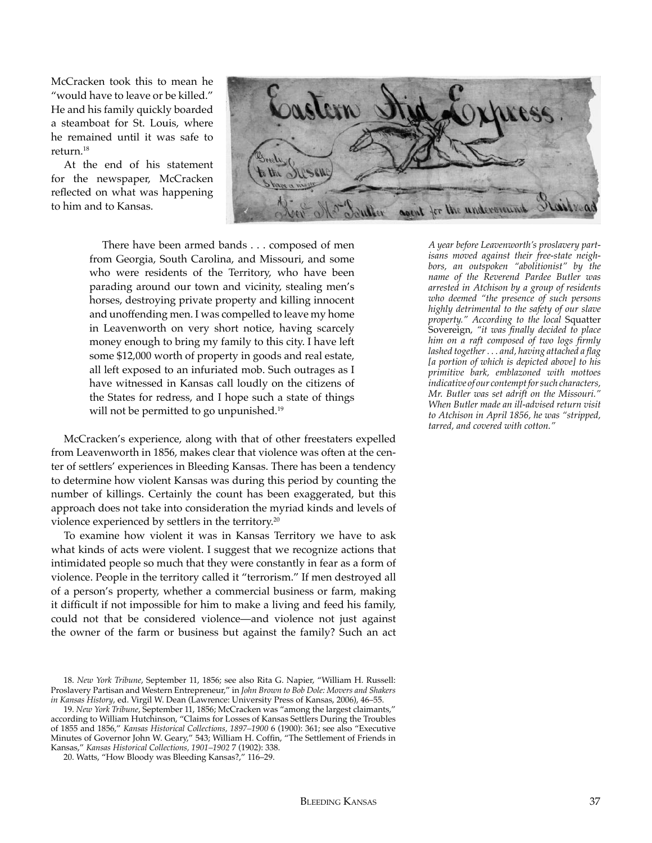McCracken took this to mean he "would have to leave or be killed." He and his family quickly boarded a steamboat for St. Louis, where he remained until it was safe to return.18

At the end of his statement for the newspaper, McCracken reflected on what was happening to him and to Kansas.



There have been armed bands . . . composed of men from Georgia, South Carolina, and Missouri, and some who were residents of the Territory, who have been parading around our town and vicinity, stealing men's horses, destroying private property and killing innocent and unoffending men. I was compelled to leave my home in Leavenworth on very short notice, having scarcely money enough to bring my family to this city. I have left some \$12,000 worth of property in goods and real estate, all left exposed to an infuriated mob. Such outrages as I have witnessed in Kansas call loudly on the citizens of the States for redress, and I hope such a state of things will not be permitted to go unpunished.<sup>19</sup>

McCracken's experience, along with that of other freestaters expelled from Leavenworth in 1856, makes clear that violence was often at the center of settlers' experiences in Bleeding Kansas. There has been a tendency to determine how violent Kansas was during this period by counting the number of killings. Certainly the count has been exaggerated, but this approach does not take into consideration the myriad kinds and levels of violence experienced by settlers in the territory.<sup>20</sup>

To examine how violent it was in Kansas Territory we have to ask what kinds of acts were violent. I suggest that we recognize actions that intimidated people so much that they were constantly in fear as a form of violence. People in the territory called it "terrorism." If men destroyed all of a person's property, whether a commercial business or farm, making it difficult if not impossible for him to make a living and feed his family, could not that be considered violence—and violence not just against the owner of the farm or business but against the family? Such an act

*A year before Leavenworth's proslavery partisans moved against their free-state neighbors, an outspoken "abolitionist" by the name of the Reverend Pardee Butler was arrested in Atchison by a group of residents who deemed "the presence of such persons highly detrimental to the safety of our slave property." According to the local* Squatter Sovereign*, "it was finally decided to place him on a raft composed of two logs firmly lashed together . . . and, having attached a flag [a portion of which is depicted above] to his primitive bark, emblazoned with mottoes indicative of our contempt for such characters, Mr. Butler was set adrift on the Missouri." When Butler made an ill-advised return visit to Atchison in April 1856, he was "stripped, tarred, and covered with cotton."*

<sup>18.</sup> *New York Tribune*, September 11, 1856; see also Rita G. Napier, "William H. Russell: Proslavery Partisan and Western Entrepreneur," in *John Brown to Bob Dole: Movers and Shakers in Kansas History*, ed. Virgil W. Dean (Lawrence: University Press of Kansas, 2006), 46–55.

<sup>19.</sup> *New York Tribune*, September 11, 1856; McCracken was "among the largest claimants," according to William Hutchinson, "Claims for Losses of Kansas Settlers During the Troubles of 1855 and 1856," *Kansas Historical Collections, 1897–1900* 6 (1900): 361; see also "Executive Minutes of Governor John W. Geary," 543; William H. Coffin, "The Settlement of Friends in Kansas," *Kansas Historical Collections, 1901–1902* 7 (1902): 338.

<sup>20.</sup> Watts, "How Bloody was Bleeding Kansas?," 116–29.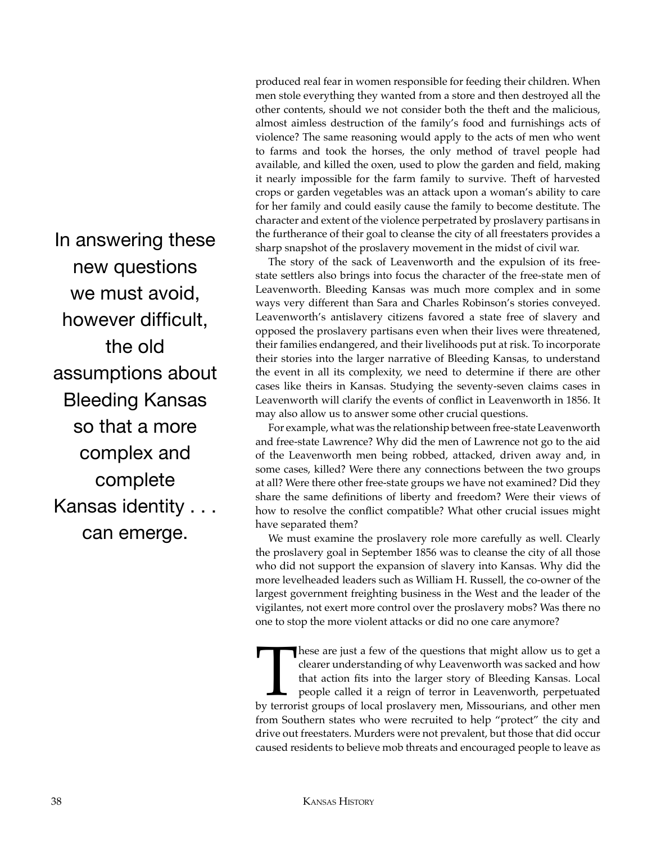In answering these new questions we must avoid, however difficult, the old assumptions about Bleeding Kansas so that a more complex and complete Kansas identity . . . can emerge.

produced real fear in women responsible for feeding their children. When men stole everything they wanted from a store and then destroyed all the other contents, should we not consider both the theft and the malicious, almost aimless destruction of the family's food and furnishings acts of violence? The same reasoning would apply to the acts of men who went to farms and took the horses, the only method of travel people had available, and killed the oxen, used to plow the garden and field, making it nearly impossible for the farm family to survive. Theft of harvested crops or garden vegetables was an attack upon a woman's ability to care for her family and could easily cause the family to become destitute. The character and extent of the violence perpetrated by proslavery partisans in the furtherance of their goal to cleanse the city of all freestaters provides a sharp snapshot of the proslavery movement in the midst of civil war.

The story of the sack of Leavenworth and the expulsion of its freestate settlers also brings into focus the character of the free-state men of Leavenworth. Bleeding Kansas was much more complex and in some ways very different than Sara and Charles Robinson's stories conveyed. Leavenworth's antislavery citizens favored a state free of slavery and opposed the proslavery partisans even when their lives were threatened, their families endangered, and their livelihoods put at risk. To incorporate their stories into the larger narrative of Bleeding Kansas, to understand the event in all its complexity, we need to determine if there are other cases like theirs in Kansas. Studying the seventy-seven claims cases in Leavenworth will clarify the events of conflict in Leavenworth in 1856. It may also allow us to answer some other crucial questions.

For example, what was the relationship between free-state Leavenworth and free-state Lawrence? Why did the men of Lawrence not go to the aid of the Leavenworth men being robbed, attacked, driven away and, in some cases, killed? Were there any connections between the two groups at all? Were there other free-state groups we have not examined? Did they share the same definitions of liberty and freedom? Were their views of how to resolve the conflict compatible? What other crucial issues might have separated them?

We must examine the proslavery role more carefully as well. Clearly the proslavery goal in September 1856 was to cleanse the city of all those who did not support the expansion of slavery into Kansas. Why did the more levelheaded leaders such as William H. Russell, the co-owner of the largest government freighting business in the West and the leader of the vigilantes, not exert more control over the proslavery mobs? Was there no one to stop the more violent attacks or did no one care anymore?

These are just a few of the questions that might allow us to get a clearer understanding of why Leavenworth was sacked and how that action fits into the larger story of Bleeding Kansas. Local people called it a reign of te clearer understanding of why Leavenworth was sacked and how that action fits into the larger story of Bleeding Kansas. Local people called it a reign of terror in Leavenworth, perpetuated by terrorist groups of local proslavery men, Missourians, and other men from Southern states who were recruited to help "protect" the city and drive out freestaters. Murders were not prevalent, but those that did occur caused residents to believe mob threats and encouraged people to leave as